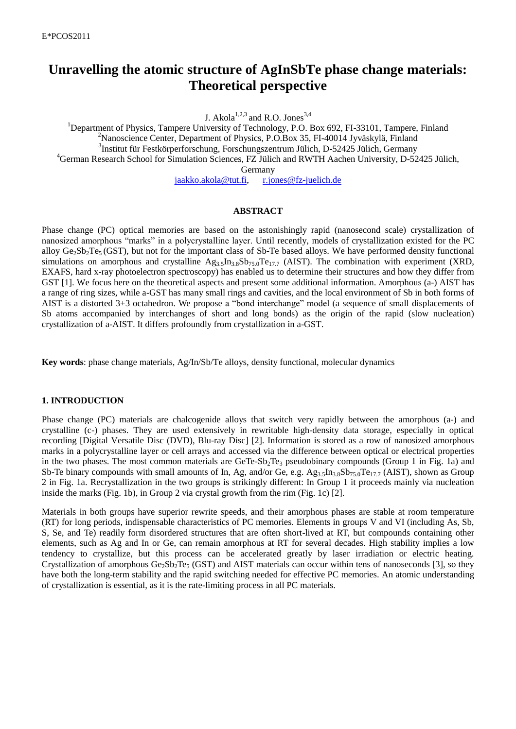# **Unravelling the atomic structure of AgInSbTe phase change materials: Theoretical perspective**

J. Akola<sup>1,2,3</sup> and R.O. Jones<sup>3,4</sup>

<sup>1</sup>Department of Physics, Tampere University of Technology, P.O. Box 692, FI-33101, Tampere, Finland <sup>2</sup>Nanoscience Center, Department of Physics, P.O.Box 35, FI-40014 Jyväskylä, Finland 3 Institut für Festkörperforschung, Forschungszentrum Jülich, D-52425 Jülich, Germany <sup>4</sup>German Research School for Simulation Sciences, FZ Jülich and RWTH Aachen University, D-52425 Jülich, Germany

[jaakko.akola@tut.fi,](mailto:jaakko.akola@tut.fi) [r.jones@fz-juelich.de](mailto:r.o.jones@fz-juelich.de)

#### **ABSTRACT**

Phase change (PC) optical memories are based on the astonishingly rapid (nanosecond scale) crystallization of nanosized amorphous "marks" in a polycrystalline layer. Until recently, models of crystallization existed for the PC alloy  $Ge_2Sb_2Te_5(GST)$ , but not for the important class of Sb-Te based alloys. We have performed density functional simulations on amorphous and crystalline  $Ag_{3.5}In_{3.8}Sb_{75.0}Te_{17.7}$  (AIST). The combination with experiment (XRD, EXAFS, hard x-ray photoelectron spectroscopy) has enabled us to determine their structures and how they differ from GST [1]. We focus here on the theoretical aspects and present some additional information. Amorphous (a-) AIST has a range of ring sizes, while a-GST has many small rings and cavities, and the local environment of Sb in both forms of AIST is a distorted 3+3 octahedron. We propose a "bond interchange" model (a sequence of small displacements of Sb atoms accompanied by interchanges of short and long bonds) as the origin of the rapid (slow nucleation) crystallization of a-AIST. It differs profoundly from crystallization in a-GST.

**Key words**: phase change materials, Ag/In/Sb/Te alloys, density functional, molecular dynamics

#### **1. INTRODUCTION**

Phase change (PC) materials are chalcogenide alloys that switch very rapidly between the amorphous (a-) and crystalline (c-) phases. They are used extensively in rewritable high-density data storage, especially in optical recording [Digital Versatile Disc (DVD), Blu-ray Disc] [2]. Information is stored as a row of nanosized amorphous marks in a polycrystalline layer or cell arrays and accessed via the difference between optical or electrical properties in the two phases. The most common materials are GeTe-Sb<sub>2</sub>Te<sub>3</sub> pseudobinary compounds (Group 1 in Fig. 1a) and Sb-Te binary compounds with small amounts of In, Ag, and/or Ge, e.g. Ag<sub>3.5</sub>In<sub>3.8</sub>Sb<sub>75.0</sub>Te<sub>17.7</sub> (AIST), shown as Group 2 in Fig. 1a. Recrystallization in the two groups is strikingly different: In Group 1 it proceeds mainly via nucleation inside the marks (Fig. 1b), in Group 2 via crystal growth from the rim (Fig. 1c) [2].

Materials in both groups have superior rewrite speeds, and their amorphous phases are stable at room temperature (RT) for long periods, indispensable characteristics of PC memories. Elements in groups V and VI (including As, Sb, S, Se, and Te) readily form disordered structures that are often short-lived at RT, but compounds containing other elements, such as Ag and In or Ge, can remain amorphous at RT for several decades. High stability implies a low tendency to crystallize, but this process can be accelerated greatly by laser irradiation or electric heating. Crystallization of amorphous Ge<sub>2</sub>Sb<sub>2</sub>Te<sub>5</sub> (GST) and AIST materials can occur within tens of nanoseconds [3], so they have both the long-term stability and the rapid switching needed for effective PC memories. An atomic understanding of crystallization is essential, as it is the rate-limiting process in all PC materials.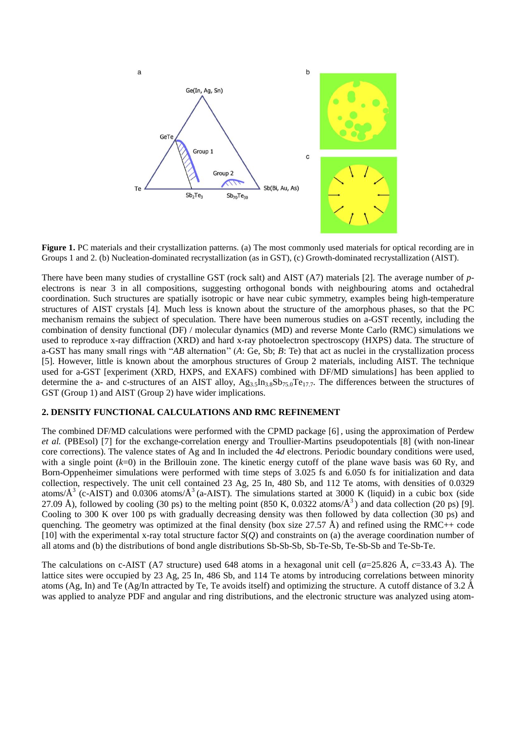

**Figure 1.** PC materials and their crystallization patterns. (a) The most commonly used materials for optical recording are in Groups 1 and 2. (b) Nucleation-dominated recrystallization (as in GST), (c) Growth-dominated recrystallization (AIST).

There have been many studies of crystalline GST (rock salt) and AIST (A7) materials [2]. The average number of *p*electrons is near 3 in all compositions, suggesting orthogonal bonds with neighbouring atoms and octahedral coordination. Such structures are spatially isotropic or have near cubic symmetry, examples being high-temperature structures of AIST crystals [4]. Much less is known about the structure of the amorphous phases, so that the PC mechanism remains the subject of speculation. There have been numerous studies on a-GST recently, including the combination of density functional (DF) / molecular dynamics (MD) and reverse Monte Carlo (RMC) simulations we used to reproduce x-ray diffraction (XRD) and hard x-ray photoelectron spectroscopy (HXPS) data. The structure of a-GST has many small rings with "*AB* alternation'' (*A*: Ge, Sb; *B*: Te) that act as nuclei in the crystallization process [5]. However, little is known about the amorphous structures of Group 2 materials, including AIST. The technique used for a-GST [experiment (XRD, HXPS, and EXAFS) combined with DF/MD simulations] has been applied to determine the a- and c-structures of an AIST alloy,  $Ag_{3.5}In_{3.8}Sb_{75.0}Te_{17.7}$ . The differences between the structures of GST (Group 1) and AIST (Group 2) have wider implications.

### **2. DENSITY FUNCTIONAL CALCULATIONS AND RMC REFINEMENT**

The combined DF/MD calculations were performed with the CPMD package [6] , using the approximation of Perdew *et al.* (PBEsol) [7] for the exchange-correlation energy and Troullier-Martins pseudopotentials [8] (with non-linear core corrections). The valence states of Ag and In included the 4*d* electrons. Periodic boundary conditions were used, with a single point ( $k=0$ ) in the Brillouin zone. The kinetic energy cutoff of the plane wave basis was 60 Ry, and Born-Oppenheimer simulations were performed with time steps of 3.025 fs and 6.050 fs for initialization and data collection, respectively. The unit cell contained 23 Ag, 25 In, 480 Sb, and 112 Te atoms, with densities of 0.0329 atoms/ $\AA^3$  (c-AIST) and 0.0306 atoms/ $\AA^3$  (a-AIST). The simulations started at 3000 K (liquid) in a cubic box (side 27.09 Å), followed by cooling (30 ps) to the melting point (850 K, 0.0322 atoms/Å<sup>3</sup>) and data collection (20 ps) [9]. Cooling to 300 K over 100 ps with gradually decreasing density was then followed by data collection (30 ps) and quenching. The geometry was optimized at the final density (box size  $27.57 \text{ Å}$ ) and refined using the RMC++ code [10] with the experimental x-ray total structure factor *S*(*Q*) and constraints on (a) the average coordination number of all atoms and (b) the distributions of bond angle distributions Sb-Sb-Sb, Sb-Te-Sb, Te-Sb-Sb and Te-Sb-Te.

The calculations on c-AIST (A7 structure) used 648 atoms in a hexagonal unit cell (*a*=25.826 Å, *c*=33.43 Å). The lattice sites were occupied by 23 Ag, 25 In, 486 Sb, and 114 Te atoms by introducing correlations between minority atoms (Ag, In) and Te (Ag/In attracted by Te, Te avoids itself) and optimizing the structure. A cutoff distance of 3.2 Å was applied to analyze PDF and angular and ring distributions, and the electronic structure was analyzed using atom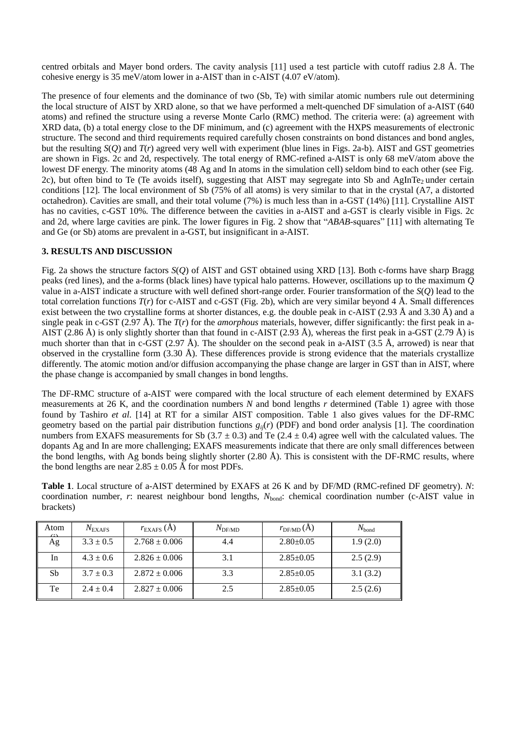centred orbitals and Mayer bond orders. The cavity analysis [11] used a test particle with cutoff radius 2.8 Å. The cohesive energy is 35 meV/atom lower in a-AIST than in c-AIST (4.07 eV/atom).

The presence of four elements and the dominance of two (Sb, Te) with similar atomic numbers rule out determining the local structure of AIST by XRD alone, so that we have performed a melt-quenched DF simulation of a-AIST (640 atoms) and refined the structure using a reverse Monte Carlo (RMC) method. The criteria were: (a) agreement with XRD data, (b) a total energy close to the DF minimum, and (c) agreement with the HXPS measurements of electronic structure. The second and third requirements required carefully chosen constraints on bond distances and bond angles, but the resulting  $S(O)$  and  $T(r)$  agreed very well with experiment (blue lines in Figs. 2a-b). AIST and GST geometries are shown in Figs. 2c and 2d, respectively. The total energy of RMC-refined a-AIST is only 68 meV/atom above the lowest DF energy. The minority atoms (48 Ag and In atoms in the simulation cell) seldom bind to each other (see Fig. 2c), but often bind to Te (Te avoids itself), suggesting that AIST may segregate into Sb and AgInTe<sub>2</sub> under certain conditions [12]. The local environment of Sb (75% of all atoms) is very similar to that in the crystal (A7, a distorted octahedron). Cavities are small, and their total volume (7%) is much less than in a-GST (14%) [11]. Crystalline AIST has no cavities, c-GST 10%. The difference between the cavities in a-AIST and a-GST is clearly visible in Figs. 2c and 2d, where large cavities are pink. The lower figures in Fig. 2 show that "*ABAB*-squares" [11] with alternating Te and Ge (or Sb) atoms are prevalent in a-GST, but insignificant in a-AIST.

## **3. RESULTS AND DISCUSSION**

Fig. 2a shows the structure factors *S*(*Q*) of AIST and GST obtained using XRD [13]. Both c-forms have sharp Bragg peaks (red lines), and the a-forms (black lines) have typical halo patterns. However, oscillations up to the maximum *Q* value in a-AIST indicate a structure with well defined short-range order. Fourier transformation of the *S*(*Q*) lead to the total correlation functions  $T(r)$  for c-AIST and c-GST (Fig. 2b), which are very similar beyond 4 Å. Small differences exist between the two crystalline forms at shorter distances, e.g. the double peak in c-AIST (2.93 Å and 3.30 Å) and a single peak in c-GST (2.97 Å). The  $T(r)$  for the *amorphous* materials, however, differ significantly: the first peak in a-AIST (2.86 Å) is only slightly shorter than that found in c-AIST (2.93 Å), whereas the first peak in a-GST (2.79 Å) is much shorter than that in c-GST (2.97 Å). The shoulder on the second peak in a-AIST (3.5 Å, arrowed) is near that observed in the crystalline form  $(3.30 \text{ Å})$ . These differences provide is strong evidence that the materials crystallize differently. The atomic motion and/or diffusion accompanying the phase change are larger in GST than in AIST, where the phase change is accompanied by small changes in bond lengths.

The DF-RMC structure of a-AIST were compared with the local structure of each element determined by EXAFS measurements at 26 K, and the coordination numbers *N* and bond lengths *r* determined (Table 1) agree with those found by Tashiro *et al*. [14] at RT for a similar AIST composition. Table 1 also gives values for the DF-RMC geometry based on the partial pair distribution functions  $g_{ij}(r)$  (PDF) and bond order analysis [1]. The coordination numbers from EXAFS measurements for Sb  $(3.7 \pm 0.3)$  and Te  $(2.4 \pm 0.4)$  agree well with the calculated values. The dopants Ag and In are more challenging; EXAFS measurements indicate that there are only small differences between the bond lengths, with Ag bonds being slightly shorter (2.80 Å). This is consistent with the DF-RMC results, where the bond lengths are near  $2.85 \pm 0.05$  Å for most PDFs.

**Table 1**. Local structure of a-AIST determined by EXAFS at 26 K and by DF/MD (RMC-refined DF geometry). *N*: coordination number, *r*: nearest neighbour bond lengths,  $N_{bond}$ : chemical coordination number (c-AIST value in brackets)

| Atom | $N_{\rm EXAFS}$ | $r_{\rm EXAFS}$ (A) | $N_{\text{DFMD}}$ | $r_{\text{DF/MD}}(A)$ | $N_{\text{bond}}$ |
|------|-----------------|---------------------|-------------------|-----------------------|-------------------|
| Ag   | $3.3 \pm 0.5$   | $2.768 \pm 0.006$   | 4.4               | $2.80 \pm 0.05$       | 1.9(2.0)          |
| In   | $4.3 \pm 0.6$   | $2.826 \pm 0.006$   | 3.1               | $2.85 \pm 0.05$       | 2.5(2.9)          |
| Sb   | $3.7 \pm 0.3$   | $2.872 \pm 0.006$   | 3.3               | $2.85 \pm 0.05$       | 3.1(3.2)          |
| Te   | $2.4 \pm 0.4$   | $2.827 \pm 0.006$   | 2.5               | $2.85 \pm 0.05$       | 2.5(2.6)          |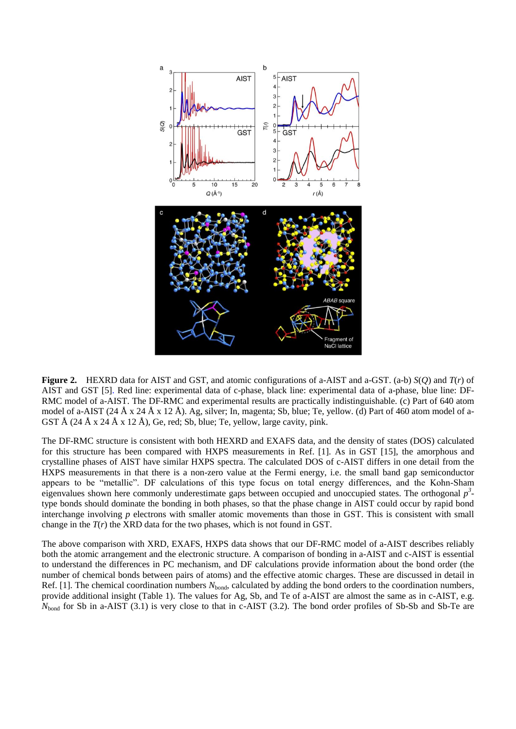

**Figure 2.** HEXRD data for AIST and GST, and atomic configurations of a-AIST and a-GST. (a-b) *S*(*Q*) and *T*(*r*) of AIST and GST [5]. Red line: experimental data of c-phase, black line: experimental data of a-phase, blue line: DF-RMC model of a-AIST. The DF-RMC and experimental results are practically indistinguishable. (c) Part of 640 atom model of a-AIST (24 Å x 24 Å x 12 Å). Ag, silver; In, magenta; Sb, blue; Te, yellow. (d) Part of 460 atom model of a-GST Å  $(24 \text{ Å } x \, 24 \text{ Å } x \, 12 \text{ Å})$ , Ge, red; Sb, blue; Te, yellow, large cavity, pink.

The DF-RMC structure is consistent with both HEXRD and EXAFS data, and the density of states (DOS) calculated for this structure has been compared with HXPS measurements in Ref. [1]. As in GST [15], the amorphous and crystalline phases of AIST have similar HXPS spectra. The calculated DOS of c-AIST differs in one detail from the HXPS measurements in that there is a non-zero value at the Fermi energy, i.e. the small band gap semiconductor appears to be "metallic". DF calculations of this type focus on total energy differences, and the Kohn-Sham eigenvalues shown here commonly underestimate gaps between occupied and unoccupied states. The orthogonal  $p^3$ type bonds should dominate the bonding in both phases, so that the phase change in AIST could occur by rapid bond interchange involving *p* electrons with smaller atomic movements than those in GST. This is consistent with small change in the  $T(r)$  the XRD data for the two phases, which is not found in GST.

The above comparison with XRD, EXAFS, HXPS data shows that our DF-RMC model of a-AIST describes reliably both the atomic arrangement and the electronic structure. A comparison of bonding in a-AIST and c-AIST is essential to understand the differences in PC mechanism, and DF calculations provide information about the bond order (the number of chemical bonds between pairs of atoms) and the effective atomic charges. These are discussed in detail in Ref. [1]. The chemical coordination numbers  $N_{bond}$ , calculated by adding the bond orders to the coordination numbers, provide additional insight (Table 1). The values for Ag, Sb, and Te of a-AIST are almost the same as in c-AIST, e.g. *N*<sub>bond</sub> for Sb in a-AIST (3.1) is very close to that in c-AIST (3.2). The bond order profiles of Sb-Sb and Sb-Te are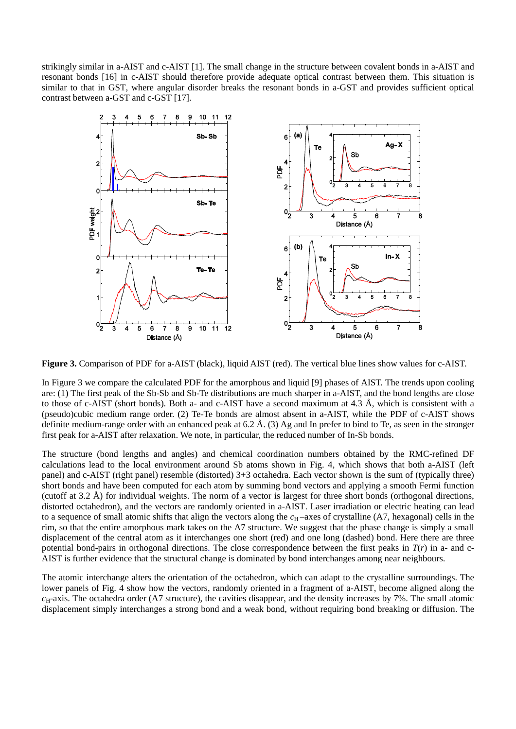strikingly similar in a-AIST and c-AIST [1]. The small change in the structure between covalent bonds in a-AIST and resonant bonds [16] in c-AIST should therefore provide adequate optical contrast between them. This situation is similar to that in GST, where angular disorder breaks the resonant bonds in a-GST and provides sufficient optical contrast between a-GST and c-GST [17].



**Figure 3.** Comparison of PDF for a-AIST (black), liquid AIST (red). The vertical blue lines show values for c-AIST.

In Figure 3 we compare the calculated PDF for the amorphous and liquid [9] phases of AIST. The trends upon cooling are: (1) The first peak of the Sb-Sb and Sb-Te distributions are much sharper in a-AIST, and the bond lengths are close to those of c-AIST (short bonds). Both a- and c-AIST have a second maximum at 4.3 Å, which is consistent with a (pseudo)cubic medium range order. (2) Te-Te bonds are almost absent in a-AIST, while the PDF of c-AIST shows definite medium-range order with an enhanced peak at 6.2 Å. (3) Ag and In prefer to bind to Te, as seen in the stronger first peak for a-AIST after relaxation. We note, in particular, the reduced number of In-Sb bonds.

The structure (bond lengths and angles) and chemical coordination numbers obtained by the RMC-refined DF calculations lead to the local environment around Sb atoms shown in Fig. 4, which shows that both a-AIST (left panel) and c-AIST (right panel) resemble (distorted) 3+3 octahedra. Each vector shown is the sum of (typically three) short bonds and have been computed for each atom by summing bond vectors and applying a smooth Fermi function (cutoff at 3.2 Å) for individual weights. The norm of a vector is largest for three short bonds (orthogonal directions, distorted octahedron), and the vectors are randomly oriented in a-AIST. Laser irradiation or electric heating can lead to a sequence of small atomic shifts that align the vectors along the  $c<sub>H</sub>$  –axes of crystalline (A7, hexagonal) cells in the rim, so that the entire amorphous mark takes on the A7 structure. We suggest that the phase change is simply a small displacement of the central atom as it interchanges one short (red) and one long (dashed) bond. Here there are three potential bond-pairs in orthogonal directions. The close correspondence between the first peaks in  $T(r)$  in a- and c-AIST is further evidence that the structural change is dominated by bond interchanges among near neighbours.

The atomic interchange alters the orientation of the octahedron, which can adapt to the crystalline surroundings. The lower panels of Fig. 4 show how the vectors, randomly oriented in a fragment of a-AIST, become aligned along the *c*H-axis. The octahedra order (A7 structure), the cavities disappear, and the density increases by 7%. The small atomic displacement simply interchanges a strong bond and a weak bond, without requiring bond breaking or diffusion. The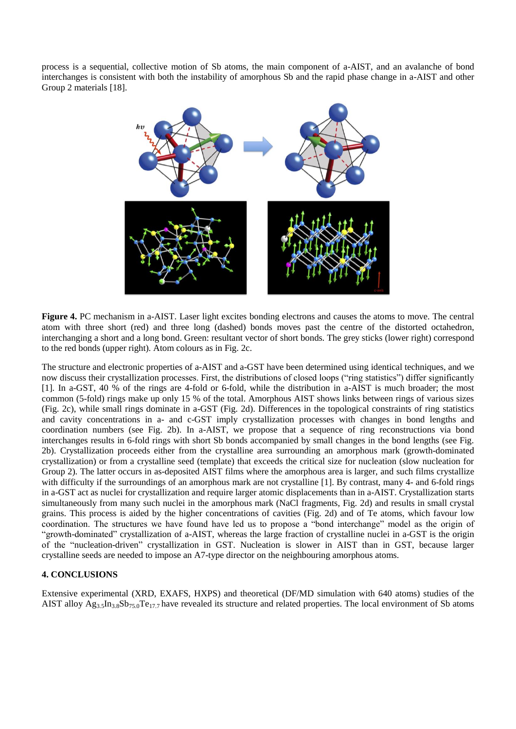process is a sequential, collective motion of Sb atoms, the main component of a-AIST, and an avalanche of bond interchanges is consistent with both the instability of amorphous Sb and the rapid phase change in a-AIST and other Group 2 materials [18].



**Figure 4.** PC mechanism in a-AIST. Laser light excites bonding electrons and causes the atoms to move. The central atom with three short (red) and three long (dashed) bonds moves past the centre of the distorted octahedron, interchanging a short and a long bond. Green: resultant vector of short bonds. The grey sticks (lower right) correspond to the red bonds (upper right). Atom colours as in Fig. 2c.

The structure and electronic properties of a-AIST and a-GST have been determined using identical techniques, and we now discuss their crystallization processes. First, the distributions of closed loops ("ring statistics") differ significantly [1]. In a-GST, 40 % of the rings are 4-fold or 6-fold, while the distribution in a-AIST is much broader; the most common (5-fold) rings make up only 15 % of the total. Amorphous AIST shows links between rings of various sizes (Fig. 2c), while small rings dominate in a-GST (Fig. 2d). Differences in the topological constraints of ring statistics and cavity concentrations in a- and c-GST imply crystallization processes with changes in bond lengths and coordination numbers (see Fig. 2b). In a-AIST, we propose that a sequence of ring reconstructions via bond interchanges results in 6-fold rings with short Sb bonds accompanied by small changes in the bond lengths (see Fig. 2b). Crystallization proceeds either from the crystalline area surrounding an amorphous mark (growth-dominated crystallization) or from a crystalline seed (template) that exceeds the critical size for nucleation (slow nucleation for Group 2). The latter occurs in as-deposited AIST films where the amorphous area is larger, and such films crystallize with difficulty if the surroundings of an amorphous mark are not crystalline [1]. By contrast, many 4- and 6-fold rings in a-GST act as nuclei for crystallization and require larger atomic displacements than in a-AIST. Crystallization starts simultaneously from many such nuclei in the amorphous mark (NaCl fragments, Fig. 2d) and results in small crystal grains. This process is aided by the higher concentrations of cavities (Fig. 2d) and of Te atoms, which favour low coordination. The structures we have found have led us to propose a "bond interchange" model as the origin of "growth-dominated" crystallization of a-AIST, whereas the large fraction of crystalline nuclei in a-GST is the origin of the "nucleation-driven" crystallization in GST. Nucleation is slower in AIST than in GST, because larger crystalline seeds are needed to impose an A7-type director on the neighbouring amorphous atoms.

# **4. CONCLUSIONS**

Extensive experimental (XRD, EXAFS, HXPS) and theoretical (DF/MD simulation with 640 atoms) studies of the AIST alloy  $Ag_{3.5}In_{3.8}Sb_{75.0}Te_{17.7}$  have revealed its structure and related properties. The local environment of Sb atoms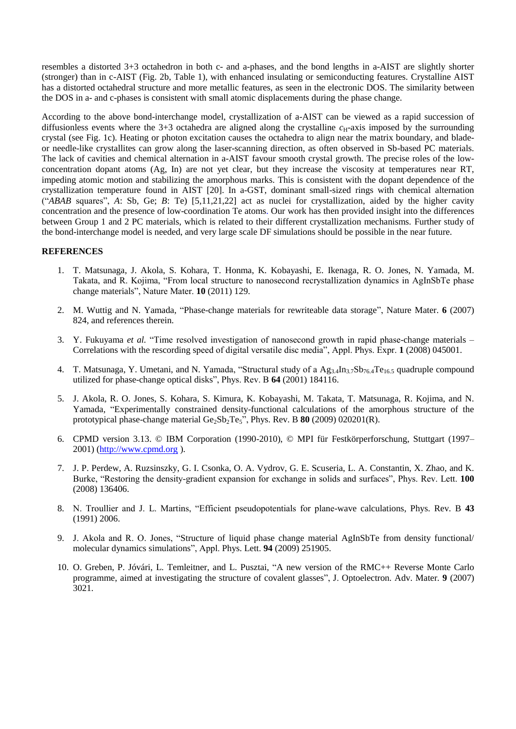resembles a distorted 3+3 octahedron in both c- and a-phases, and the bond lengths in a-AIST are slightly shorter (stronger) than in c-AIST (Fig. 2b, Table 1), with enhanced insulating or semiconducting features. Crystalline AIST has a distorted octahedral structure and more metallic features, as seen in the electronic DOS. The similarity between the DOS in a- and c-phases is consistent with small atomic displacements during the phase change.

According to the above bond-interchange model, crystallization of a-AIST can be viewed as a rapid succession of diffusionless events where the  $3+3$  octahedra are aligned along the crystalline  $c_H$ -axis imposed by the surrounding crystal (see Fig. 1c). Heating or photon excitation causes the octahedra to align near the matrix boundary, and bladeor needle-like crystallites can grow along the laser-scanning direction, as often observed in Sb-based PC materials. The lack of cavities and chemical alternation in a-AIST favour smooth crystal growth. The precise roles of the lowconcentration dopant atoms (Ag, In) are not yet clear, but they increase the viscosity at temperatures near RT, impeding atomic motion and stabilizing the amorphous marks. This is consistent with the dopant dependence of the crystallization temperature found in AIST [20]. In a-GST, dominant small-sized rings with chemical alternation ("*ABAB* squares", *A*: Sb, Ge; *B*: Te) [5,11,21,22] act as nuclei for crystallization, aided by the higher cavity concentration and the presence of low-coordination Te atoms. Our work has then provided insight into the differences between Group 1 and 2 PC materials, which is related to their different crystallization mechanisms. Further study of the bond-interchange model is needed, and very large scale DF simulations should be possible in the near future.

#### **REFERENCES**

- 1. T. Matsunaga, J. Akola, S. Kohara, T. Honma, K. Kobayashi, E. Ikenaga, R. O. Jones, N. Yamada, M. Takata, and R. Kojima, "From local structure to nanosecond recrystallization dynamics in AgInSbTe phase change materials", Nature Mater. **10** (2011) 129.
- 2. M. Wuttig and N. Yamada, "Phase-change materials for rewriteable data storage", Nature Mater. **6** (2007) 824, and references therein.
- 3. Y. Fukuyama *et al.* "Time resolved investigation of nanosecond growth in rapid phase-change materials Correlations with the rescording speed of digital versatile disc media", Appl. Phys. Expr. **1** (2008) 045001.
- 4. T. Matsunaga, Y. Umetani, and N. Yamada, "Structural study of a Ag<sub>3.4</sub>In<sub>3.7</sub>Sb<sub>76.4</sub>Te<sub>16.5</sub> quadruple compound utilized for phase-change optical disks", Phys. Rev. B **64** (2001) 184116.
- 5. J. Akola, R. O. Jones, S. Kohara, S. Kimura, K. Kobayashi, M. Takata, T. Matsunaga, R. Kojima, and N. Yamada, "Experimentally constrained density-functional calculations of the amorphous structure of the prototypical phase-change material  $Ge_2Sb_2Te_5$ ", Phys. Rev. B **80** (2009) 020201(R).
- 6. CPMD version 3.13. © IBM Corporation (1990-2010), © MPI für Festkörperforschung, Stuttgart (1997–  $2001$ ) ( $\frac{http://www.cpmd.org}{http://www.cpmd.org}$ ).
- 7. J. P. Perdew, A. Ruzsinszky, G. I. Csonka, O. A. Vydrov, G. E. Scuseria, L. A. Constantin, X. Zhao, and K. Burke, "Restoring the density-gradient expansion for exchange in solids and surfaces", Phys. Rev. Lett. **100**  (2008) 136406.
- 8. N. Troullier and J. L. Martins, "Efficient pseudopotentials for plane-wave calculations, Phys. Rev. B **43**  (1991) 2006.
- 9. J. Akola and R. O. Jones, "Structure of liquid phase change material AgInSbTe from density functional/ molecular dynamics simulations", Appl. Phys. Lett. **94** (2009) 251905.
- 10. O. Greben, P. Jóvári, L. Temleitner, and L. Pusztai, "A new version of the RMC++ Reverse Monte Carlo programme, aimed at investigating the structure of covalent glasses", J. Optoelectron. Adv. Mater*.* **9** (2007) 3021.